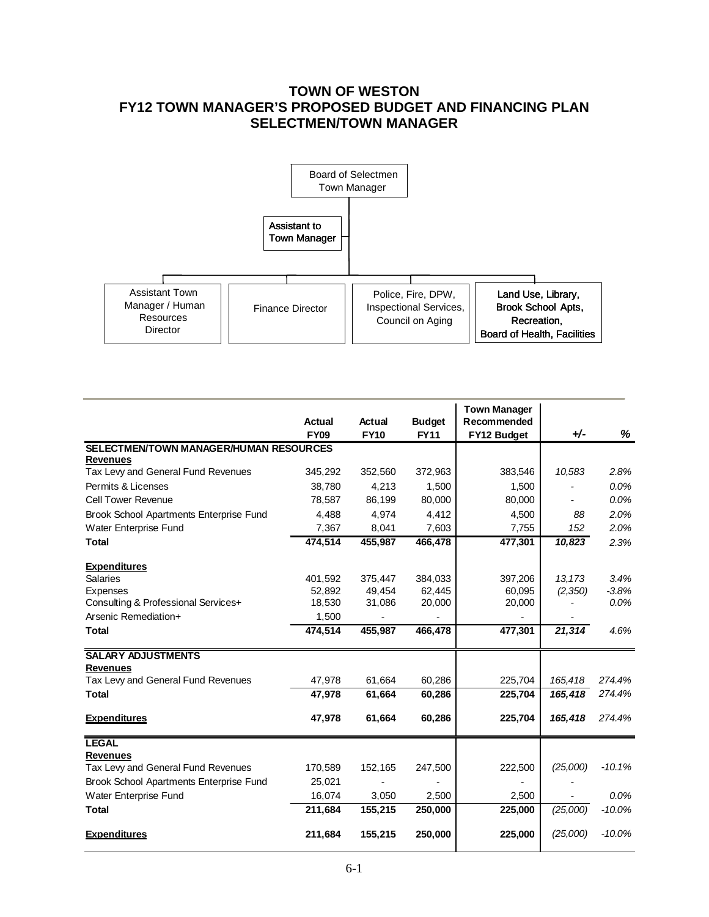## **TOWN OF WESTON FY12 TOWN MANAGER'S PROPOSED BUDGET AND FINANCING PLAN SELECTMEN/TOWN MANAGER**



|                                                       |               |             |               | <b>Town Manager</b> |          |          |
|-------------------------------------------------------|---------------|-------------|---------------|---------------------|----------|----------|
|                                                       | <b>Actual</b> | Actual      | <b>Budget</b> | Recommended         |          |          |
|                                                       | <b>FY09</b>   | <b>FY10</b> | <b>FY11</b>   | FY12 Budget         | +⁄-      | %        |
| SELECTMEN/TOWN MANAGER/HUMAN RESOURCES                |               |             |               |                     |          |          |
| <b>Revenues</b>                                       |               |             |               |                     |          |          |
| Tax Levy and General Fund Revenues                    | 345,292       | 352,560     | 372,963       | 383,546             | 10,583   | 2.8%     |
| Permits & Licenses                                    | 38,780        | 4,213       | 1,500         | 1,500               |          | 0.0%     |
| <b>Cell Tower Revenue</b>                             | 78,587        | 86,199      | 80,000        | 80,000              |          | $0.0\%$  |
| Brook School Apartments Enterprise Fund               | 4,488         | 4.974       | 4.412         | 4,500               | 88       | 2.0%     |
| Water Enterprise Fund                                 | 7,367         | 8,041       | 7,603         | 7,755               | 152      | 2.0%     |
| <b>Total</b>                                          | 474,514       | 455,987     | 466,478       | 477,301             | 10,823   | 2.3%     |
| <b>Expenditures</b>                                   |               |             |               |                     |          |          |
| <b>Salaries</b>                                       | 401,592       | 375,447     | 384,033       | 397,206             | 13,173   | 3.4%     |
| <b>Expenses</b>                                       | 52,892        | 49,454      | 62,445        | 60,095              | (2,350)  | $-3.8%$  |
| Consulting & Professional Services+                   | 18,530        | 31,086      | 20,000        | 20,000              |          | 0.0%     |
| Arsenic Remediation+                                  | 1,500         |             |               |                     |          |          |
| <b>Total</b>                                          | 474,514       | 455,987     | 466,478       | 477,301             | 21,314   | 4.6%     |
| <b>SALARY ADJUSTMENTS</b>                             |               |             |               |                     |          |          |
| <b>Revenues</b>                                       |               |             |               |                     |          |          |
| Tax Levy and General Fund Revenues                    | 47.978        | 61,664      | 60,286        | 225,704             | 165,418  | 274.4%   |
| <b>Total</b>                                          | 47,978        | 61,664      | 60,286        | 225,704             | 165,418  | 274.4%   |
| <b>Expenditures</b>                                   | 47,978        | 61,664      | 60,286        | 225,704             | 165,418  | 274.4%   |
| <b>LEGAL</b>                                          |               |             |               |                     |          |          |
| <b>Revenues</b><br>Tax Levy and General Fund Revenues | 170,589       | 152,165     | 247,500       | 222,500             | (25,000) | $-10.1%$ |
| Brook School Apartments Enterprise Fund               | 25,021        | ä,          |               |                     |          |          |
| Water Enterprise Fund                                 | 16,074        | 3,050       | 2,500         | 2,500               |          | $0.0\%$  |
| <b>Total</b>                                          | 211,684       | 155,215     | 250,000       | 225,000             | (25,000) | $-10.0%$ |
| <b>Expenditures</b>                                   | 211,684       | 155,215     | 250,000       | 225,000             | (25,000) | $-10.0%$ |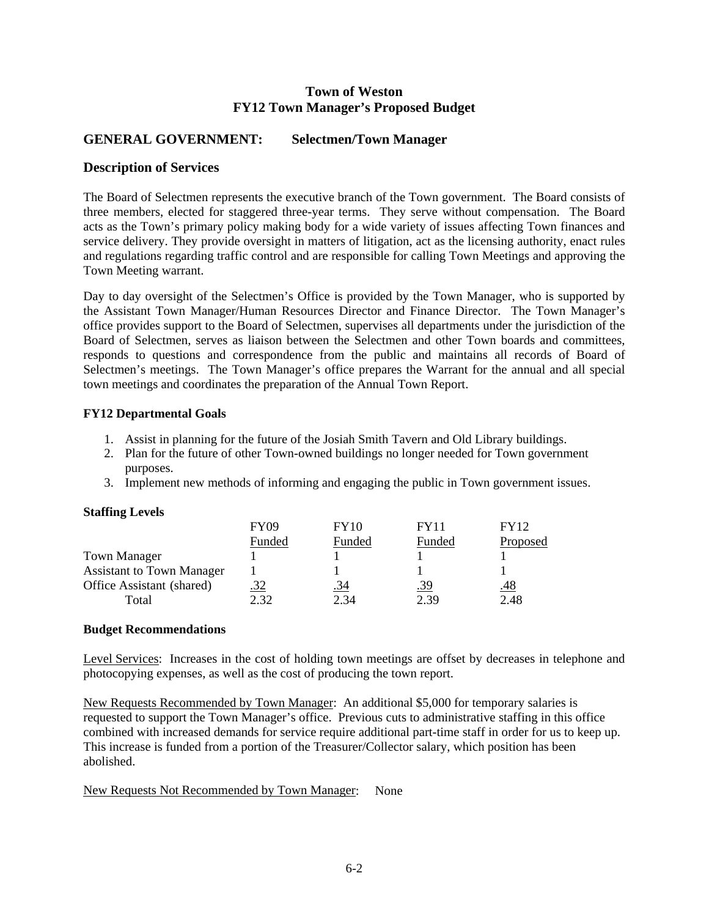### **GENERAL GOVERNMENT: Selectmen/Town Manager**

### **Description of Services**

The Board of Selectmen represents the executive branch of the Town government. The Board consists of three members, elected for staggered three-year terms. They serve without compensation. The Board acts as the Town's primary policy making body for a wide variety of issues affecting Town finances and service delivery. They provide oversight in matters of litigation, act as the licensing authority, enact rules and regulations regarding traffic control and are responsible for calling Town Meetings and approving the Town Meeting warrant.

Day to day oversight of the Selectmen's Office is provided by the Town Manager, who is supported by the Assistant Town Manager/Human Resources Director and Finance Director. The Town Manager's office provides support to the Board of Selectmen, supervises all departments under the jurisdiction of the Board of Selectmen, serves as liaison between the Selectmen and other Town boards and committees, responds to questions and correspondence from the public and maintains all records of Board of Selectmen's meetings. The Town Manager's office prepares the Warrant for the annual and all special town meetings and coordinates the preparation of the Annual Town Report.

### **FY12 Departmental Goals**

- 1. Assist in planning for the future of the Josiah Smith Tavern and Old Library buildings.
- 2. Plan for the future of other Town-owned buildings no longer needed for Town government purposes.
- 3. Implement new methods of informing and engaging the public in Town government issues.

### **Staffing Levels**

|                                  | <b>FY09</b> | <b>FY10</b> | <b>FY11</b> | <b>FY12</b> |
|----------------------------------|-------------|-------------|-------------|-------------|
|                                  | Funded      | Funded      | Funded      | Proposed    |
| <b>Town Manager</b>              |             |             |             |             |
| <b>Assistant to Town Manager</b> |             |             |             |             |
| Office Assistant (shared)        | <u>.32</u>  | <u>.34</u>  | <u>.39</u>  | <u>.48</u>  |
| Total                            |             | 2.34        | 2.39        | 2.48        |

### **Budget Recommendations**

Level Services: Increases in the cost of holding town meetings are offset by decreases in telephone and photocopying expenses, as well as the cost of producing the town report.

New Requests Recommended by Town Manager: An additional \$5,000 for temporary salaries is requested to support the Town Manager's office. Previous cuts to administrative staffing in this office combined with increased demands for service require additional part-time staff in order for us to keep up. This increase is funded from a portion of the Treasurer/Collector salary, which position has been abolished.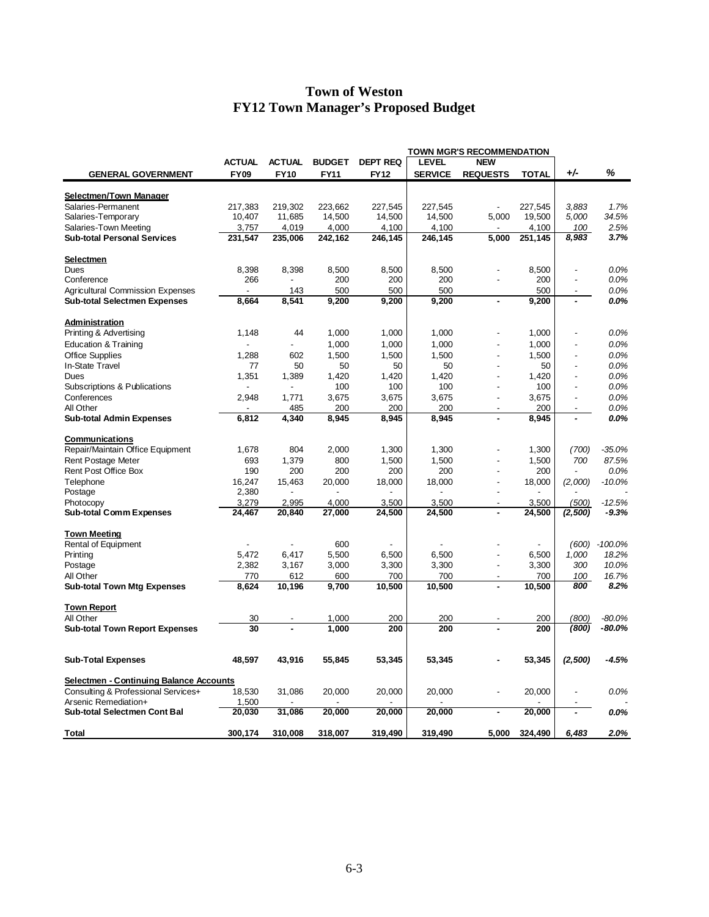|                                                 |               |                |               |                 |                | <b>TOWN MGR'S RECOMMENDATION</b> |              |                          |            |
|-------------------------------------------------|---------------|----------------|---------------|-----------------|----------------|----------------------------------|--------------|--------------------------|------------|
|                                                 | <b>ACTUAL</b> | <b>ACTUAL</b>  | <b>BUDGET</b> | <b>DEPT REQ</b> | <b>LEVEL</b>   | <b>NEW</b>                       |              |                          |            |
| <b>GENERAL GOVERNMENT</b>                       | <b>FY09</b>   | <b>FY10</b>    | <b>FY11</b>   | <b>FY12</b>     | <b>SERVICE</b> | <b>REQUESTS</b>                  | <b>TOTAL</b> | +/-                      | %          |
|                                                 |               |                |               |                 |                |                                  |              |                          |            |
| <b>Selectmen/Town Manager</b>                   |               |                |               |                 |                |                                  |              |                          |            |
| Salaries-Permanent                              | 217,383       | 219,302        | 223,662       | 227,545         | 227,545        | $\overline{\phantom{a}}$         | 227,545      | 3.883                    | 1.7%       |
| Salaries-Temporary                              | 10,407        | 11,685         | 14,500        | 14,500          | 14,500         | 5,000                            | 19,500       | 5,000                    | 34.5%      |
| Salaries-Town Meeting                           | 3,757         | 4,019          | 4,000         | 4,100           | 4,100          |                                  | 4,100        | 100                      | 2.5%       |
| <b>Sub-total Personal Services</b>              | 231,547       | 235,006        | 242,162       | 246,145         | 246,145        | 5,000                            | 251,145      | 8,983                    | 3.7%       |
| <b>Selectmen</b>                                |               |                |               |                 |                |                                  |              |                          |            |
| Dues                                            | 8,398         | 8,398          | 8,500         | 8,500           | 8,500          | ٠                                | 8,500        | $\overline{a}$           | 0.0%       |
| Conference                                      | 266           | $\overline{a}$ | 200           | 200             | 200            |                                  | 200          | $\overline{a}$           | 0.0%       |
| <b>Agricultural Commission Expenses</b>         | ÷,            | 143            | 500           | 500             | 500            |                                  | 500          |                          | 0.0%       |
| <b>Sub-total Selectmen Expenses</b>             | 8,664         | 8.541          | 9,200         | 9,200           | 9,200          | $\blacksquare$                   | 9,200        |                          | 0.0%       |
|                                                 |               |                |               |                 |                |                                  |              |                          |            |
| <u>Administration</u><br>Printing & Advertising | 1,148         | 44             | 1,000         | 1,000           | 1,000          | $\overline{a}$                   | 1,000        | Ĭ.                       | 0.0%       |
|                                                 |               |                |               |                 |                |                                  |              |                          |            |
| <b>Education &amp; Training</b>                 |               |                | 1,000         | 1,000           | 1,000          |                                  | 1,000        |                          | 0.0%       |
| <b>Office Supplies</b>                          | 1,288         | 602            | 1,500         | 1,500           | 1,500          | Ĭ.                               | 1,500        | $\overline{a}$           | 0.0%       |
| In-State Travel                                 | 77            | 50             | 50            | 50              | 50             |                                  | 50           | ÷,                       | 0.0%       |
| Dues                                            | 1,351         | 1,389          | 1,420         | 1,420           | 1,420          |                                  | 1,420        | $\overline{a}$           | 0.0%       |
| Subscriptions & Publications                    |               |                | 100           | 100             | 100            | $\overline{a}$                   | 100          | $\overline{a}$           | 0.0%       |
| Conferences                                     | 2,948         | 1,771          | 3,675         | 3,675           | 3,675          |                                  | 3,675        | $\overline{a}$           | 0.0%       |
| All Other                                       |               | 485            | 200           | 200             | 200            | $\blacksquare$                   | 200          | $\overline{\phantom{a}}$ | 0.0%       |
| <b>Sub-total Admin Expenses</b>                 | 6,812         | 4,340          | 8,945         | 8,945           | 8,945          | Ĭ.                               | 8,945        | $\overline{a}$           | 0.0%       |
|                                                 |               |                |               |                 |                |                                  |              |                          |            |
| <b>Communications</b>                           |               |                |               |                 |                |                                  |              |                          |            |
| Repair/Maintain Office Equipment                | 1,678         | 804            | 2,000         | 1,300           | 1,300          |                                  | 1,300        | (700)                    | $-35.0%$   |
| Rent Postage Meter                              | 693           | 1,379          | 800           | 1,500           | 1,500          | $\overline{a}$                   | 1,500        | 700                      | 87.5%      |
| Rent Post Office Box                            | 190           | 200            | 200           | 200             | 200            |                                  | 200          |                          | 0.0%       |
| Telephone                                       | 16,247        | 15,463         | 20,000        | 18,000          | 18,000         | $\overline{a}$                   | 18,000       | (2,000)                  | $-10.0%$   |
| Postage                                         | 2,380         |                |               |                 |                | ٠                                |              |                          |            |
| Photocopy                                       | 3,279         | 2,995          | 4,000         | 3,500           | 3,500          | ÷,                               | 3,500        | (500)                    | $-12.5%$   |
| <b>Sub-total Comm Expenses</b>                  | 24,467        | 20,840         | 27,000        | 24,500          | 24,500         | ä,                               | 24,500       | (2,500)                  | $-9.3%$    |
| <b>Town Meeting</b>                             |               |                |               |                 |                |                                  |              |                          |            |
| <b>Rental of Equipment</b>                      |               |                | 600           |                 |                |                                  |              | (600)                    | $-100.0\%$ |
| Printing                                        | 5,472         | 6,417          | 5,500         | 6,500           | 6,500          | Ĭ.                               | 6,500        | 1,000                    | 18.2%      |
| Postage                                         | 2,382         | 3,167          | 3,000         | 3,300           | 3,300          | $\overline{a}$                   | 3,300        | 300                      | 10.0%      |
| All Other                                       | 770           | 612            | 600           | 700             | 700            | ÷,                               | 700          | 100                      | 16.7%      |
| <b>Sub-total Town Mtg Expenses</b>              | 8,624         | 10,196         | 9,700         | 10,500          | 10,500         | L.                               | 10,500       | 800                      | 8.2%       |
| <b>Town Report</b>                              |               |                |               |                 |                |                                  |              |                          |            |
|                                                 |               |                |               |                 |                |                                  |              |                          |            |
| All Other                                       | 30            |                | 1,000         | 200             | 200            |                                  | 200          | (800)                    | $-80.0%$   |
| <b>Sub-total Town Report Expenses</b>           | 30            |                | 1,000         | 200             | 200            |                                  | 200          | (800)                    | $-80.0\%$  |
| <b>Sub-Total Expenses</b>                       | 48,597        | 43,916         | 55,845        | 53,345          | 53,345         |                                  | 53,345       | (2,500)                  | $-4.5%$    |
|                                                 |               |                |               |                 |                |                                  |              |                          |            |
| Selectmen - Continuing Balance Accounts         |               |                |               |                 |                |                                  |              |                          |            |
| Consulting & Professional Services+             | 18,530        | 31,086         | 20,000        | 20,000          | 20,000         | ÷,                               | 20,000       | Ĭ.                       | 0.0%       |
| Arsenic Remediation+                            | 1,500         |                |               |                 |                | $\overline{a}$                   |              |                          |            |
| <b>Sub-total Selectmen Cont Bal</b>             | 20,030        | 31,086         | 20,000        | 20,000          | 20,000         |                                  | 20,000       |                          | 0.0%       |
| <b>Total</b>                                    | 300,174       | 310,008        | 318,007       | 319,490         | 319,490        | 5,000                            | 324,490      | 6,483                    | 2.0%       |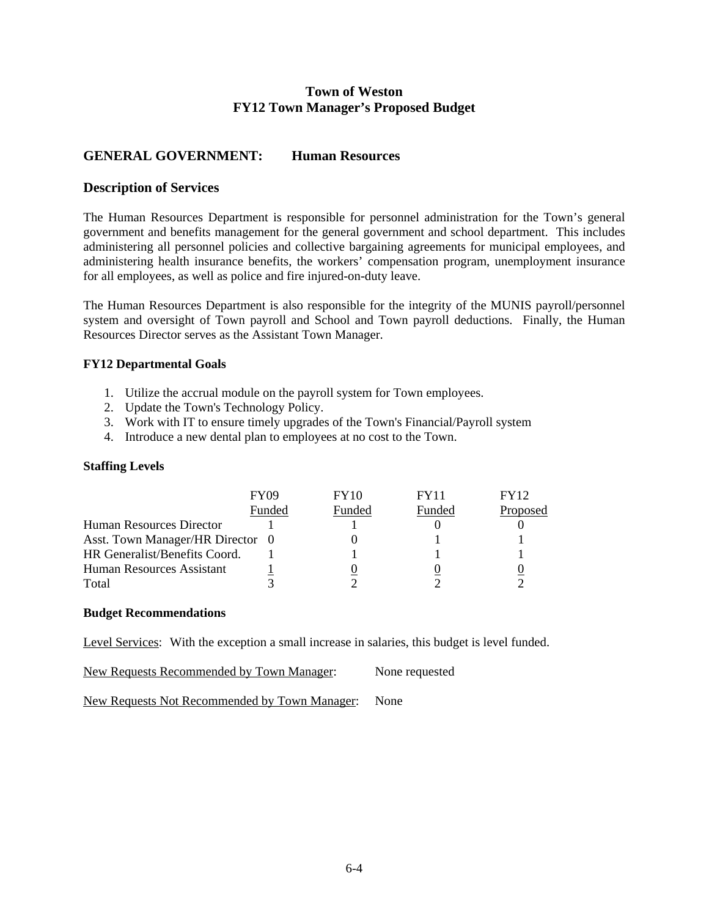## **GENERAL GOVERNMENT: Human Resources**

### **Description of Services**

The Human Resources Department is responsible for personnel administration for the Town's general government and benefits management for the general government and school department. This includes administering all personnel policies and collective bargaining agreements for municipal employees, and administering health insurance benefits, the workers' compensation program, unemployment insurance for all employees, as well as police and fire injured-on-duty leave.

The Human Resources Department is also responsible for the integrity of the MUNIS payroll/personnel system and oversight of Town payroll and School and Town payroll deductions. Finally, the Human Resources Director serves as the Assistant Town Manager.

### **FY12 Departmental Goals**

- 1. Utilize the accrual module on the payroll system for Town employees.
- 2. Update the Town's Technology Policy.
- 3. Work with IT to ensure timely upgrades of the Town's Financial/Payroll system
- 4. Introduce a new dental plan to employees at no cost to the Town.

### **Staffing Levels**

|                                  | <b>FY09</b> | FY10   | FY11   | FY12     |
|----------------------------------|-------------|--------|--------|----------|
|                                  | Funded      | Funded | Funded | Proposed |
| Human Resources Director         |             |        |        |          |
| Asst. Town Manager/HR Director 0 |             |        |        |          |
| HR Generalist/Benefits Coord.    |             |        |        |          |
| Human Resources Assistant        |             |        |        |          |
| Total                            |             |        |        |          |

#### **Budget Recommendations**

Level Services: With the exception a small increase in salaries, this budget is level funded.

New Requests Recommended by Town Manager: None requested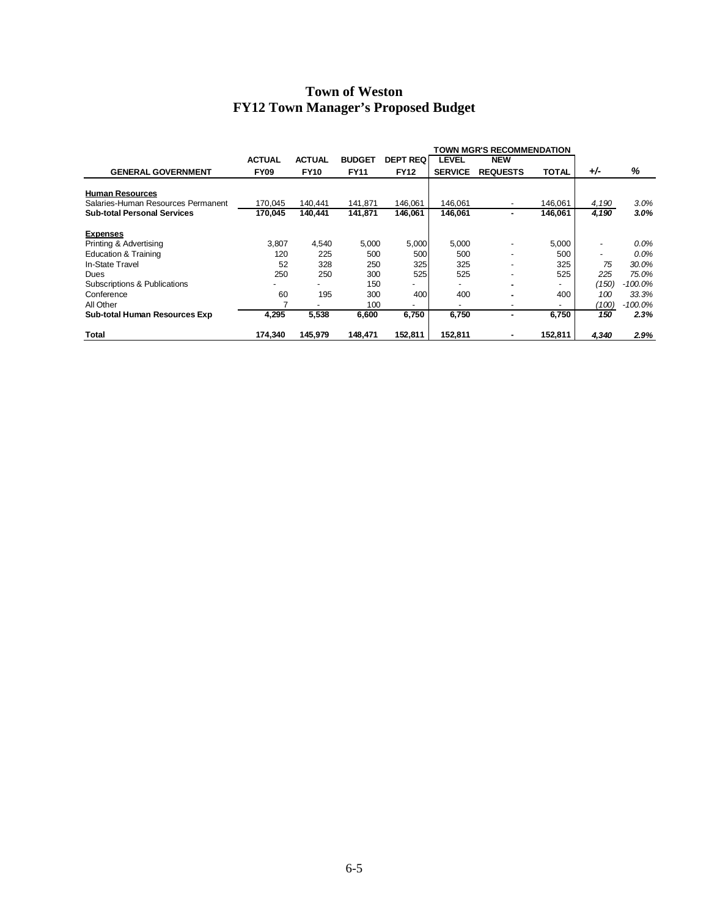| <b>Town of Weston</b>                      |
|--------------------------------------------|
| <b>FY12 Town Manager's Proposed Budget</b> |

|                                      | <b>ACTUAL</b> | <b>ACTUAL</b> | <b>BUDGET</b> | <b>DEPT REQ</b>          | LEVEL          | <b>NEW</b>      |              |                          |            |
|--------------------------------------|---------------|---------------|---------------|--------------------------|----------------|-----------------|--------------|--------------------------|------------|
| <b>GENERAL GOVERNMENT</b>            | <b>FY09</b>   | <b>FY10</b>   | <b>FY11</b>   | <b>FY12</b>              | <b>SERVICE</b> | <b>REQUESTS</b> | <b>TOTAL</b> | $+/-$                    | %          |
| <b>Human Resources</b>               |               |               |               |                          |                |                 |              |                          |            |
| Salaries-Human Resources Permanent   | 170.045       | 140,441       | 141.871       | 146.061                  | 146.061        |                 | 146,061      | 4,190                    | 3.0%       |
| <b>Sub-total Personal Services</b>   | 170.045       | 140.441       | 141.871       | 146.061                  | 146.061        |                 | 146,061      | 4,190                    | 3.0%       |
| <b>Expenses</b>                      |               |               |               |                          |                |                 |              |                          |            |
| Printing & Advertising               | 3,807         | 4,540         | 5,000         | 5,000                    | 5,000          |                 | 5,000        | $\overline{\phantom{0}}$ | $0.0\%$    |
| <b>Education &amp; Training</b>      | 120           | 225           | 500           | 500                      | 500            |                 | 500          |                          | $0.0\%$    |
| In-State Travel                      | 52            | 328           | 250           | 325                      | 325            |                 | 325          | 75                       | 30.0%      |
| Dues                                 | 250           | 250           | 300           | 525                      | 525            |                 | 525          | 225                      | 75.0%      |
| Subscriptions & Publications         |               |               | 150           | $\overline{\phantom{a}}$ |                |                 |              | (150)                    | $-100.0%$  |
| Conference                           | 60            | 195           | 300           | 400                      | 400            |                 | 400          | 100                      | 33.3%      |
| All Other                            |               |               | 100           |                          |                |                 |              | (100)                    | $-100.0\%$ |
| <b>Sub-total Human Resources Exp</b> | 4,295         | 5,538         | 6,600         | 6,750                    | 6,750          |                 | 6.750        | 150                      | 2.3%       |
| Total                                | 174,340       | 145,979       | 148,471       | 152,811                  | 152,811        |                 | 152,811      | 4,340                    | 2.9%       |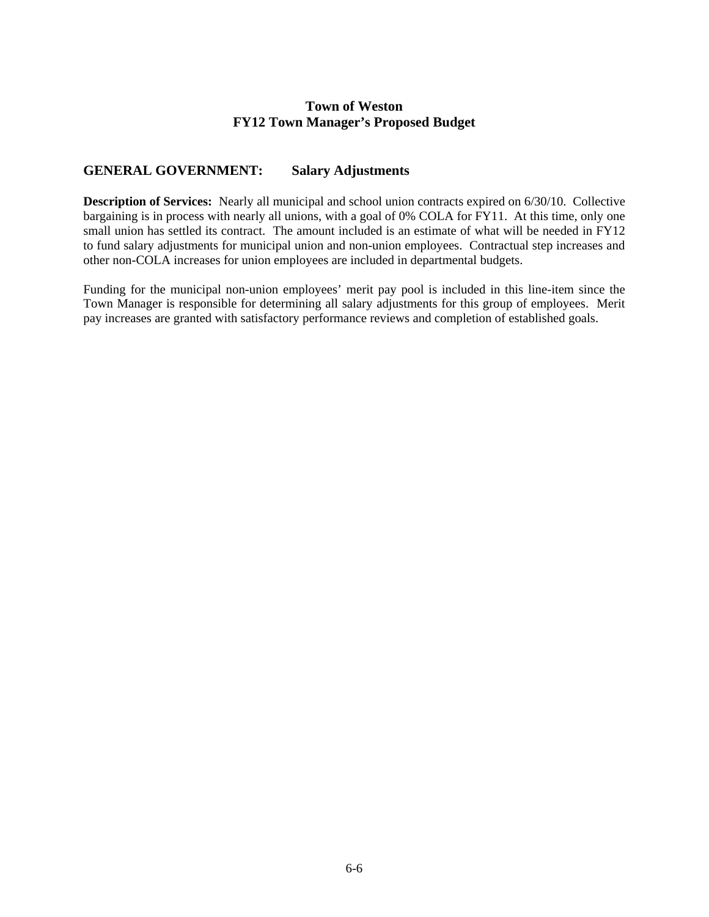## **GENERAL GOVERNMENT: Salary Adjustments**

**Description of Services:** Nearly all municipal and school union contracts expired on 6/30/10. Collective bargaining is in process with nearly all unions, with a goal of 0% COLA for FY11. At this time, only one small union has settled its contract. The amount included is an estimate of what will be needed in FY12 to fund salary adjustments for municipal union and non-union employees. Contractual step increases and other non-COLA increases for union employees are included in departmental budgets.

Funding for the municipal non-union employees' merit pay pool is included in this line-item since the Town Manager is responsible for determining all salary adjustments for this group of employees. Merit pay increases are granted with satisfactory performance reviews and completion of established goals.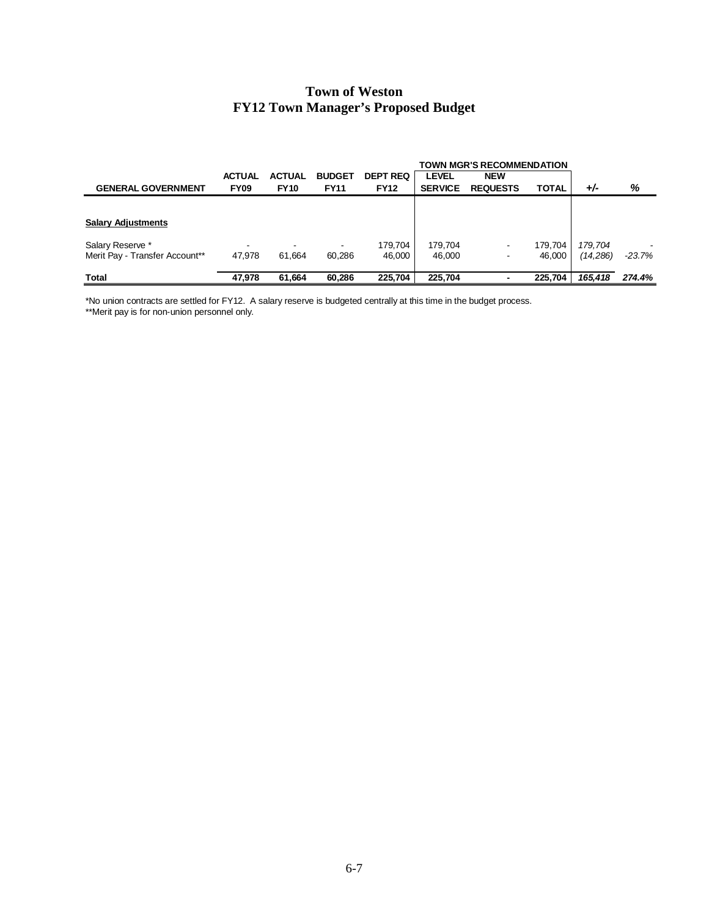|                                |               |               |               |                 |                | <b>TOWN MGR'S RECOMMENDATION</b> |         |           |          |
|--------------------------------|---------------|---------------|---------------|-----------------|----------------|----------------------------------|---------|-----------|----------|
|                                | <b>ACTUAL</b> | <b>ACTUAL</b> | <b>BUDGET</b> | <b>DEPT REQ</b> | <b>LEVEL</b>   | <b>NEW</b>                       |         |           |          |
| <b>GENERAL GOVERNMENT</b>      | <b>FY09</b>   | <b>FY10</b>   | <b>FY11</b>   | <b>FY12</b>     | <b>SERVICE</b> | <b>REQUESTS</b>                  | TOTAL   | +⁄-       | %        |
|                                |               |               |               |                 |                |                                  |         |           |          |
| <b>Salary Adjustments</b>      |               |               |               |                 |                |                                  |         |           |          |
| Salary Reserve *               |               |               |               | 179.704         | 179.704        | $\overline{\phantom{a}}$         | 179.704 | 179.704   |          |
| Merit Pay - Transfer Account** | 47.978        | 61.664        | 60.286        | 46.000          | 46.000         | $\overline{\phantom{a}}$         | 46,000  | (14, 286) | $-23.7%$ |
| <b>Total</b>                   | 47.978        | 61.664        | 60.286        | 225.704         | 225.704        | $\blacksquare$                   | 225.704 | 165.418   | 274.4%   |

\*No union contracts are settled for FY12. A salary reserve is budgeted centrally at this time in the budget process.

\*\*Merit pay is for non-union personnel only.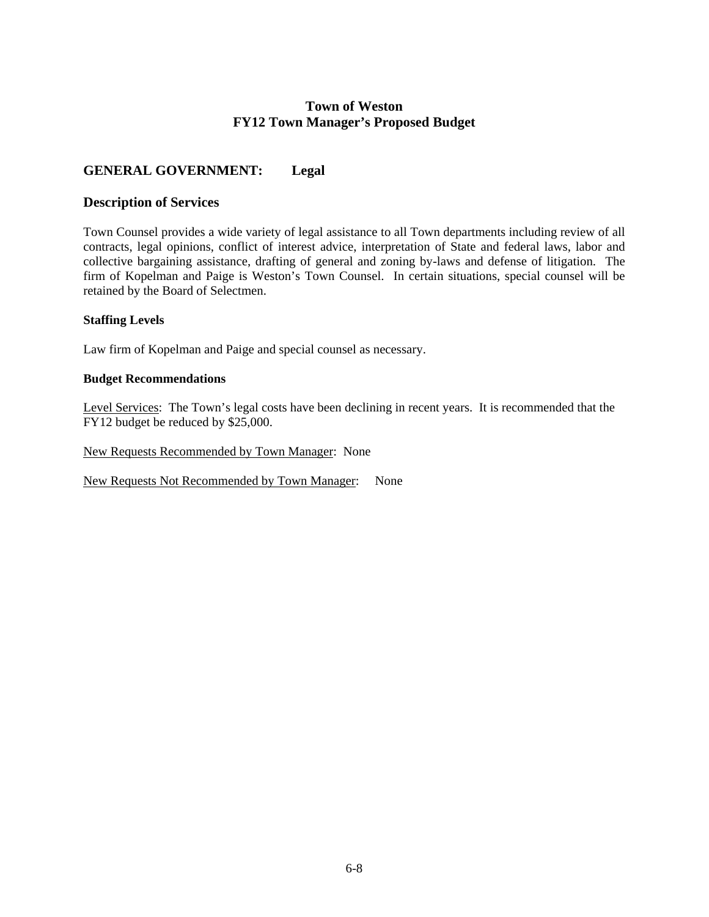## **GENERAL GOVERNMENT: Legal**

#### **Description of Services**

Town Counsel provides a wide variety of legal assistance to all Town departments including review of all contracts, legal opinions, conflict of interest advice, interpretation of State and federal laws, labor and collective bargaining assistance, drafting of general and zoning by-laws and defense of litigation. The firm of Kopelman and Paige is Weston's Town Counsel. In certain situations, special counsel will be retained by the Board of Selectmen.

#### **Staffing Levels**

Law firm of Kopelman and Paige and special counsel as necessary.

#### **Budget Recommendations**

Level Services: The Town's legal costs have been declining in recent years. It is recommended that the FY12 budget be reduced by \$25,000.

New Requests Recommended by Town Manager: None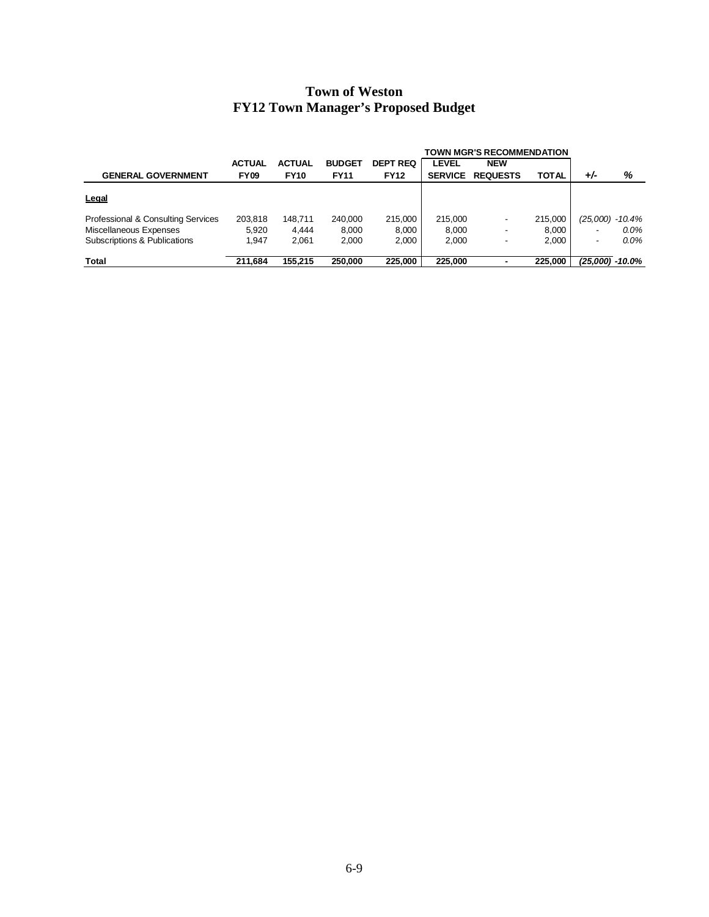| <b>Town of Weston</b>                      |
|--------------------------------------------|
| <b>FY12 Town Manager's Proposed Budget</b> |

|                                    |               |               | <b>TOWN MGR'S RECOMMENDATION</b> |                 |                |                 |              |                          |          |
|------------------------------------|---------------|---------------|----------------------------------|-----------------|----------------|-----------------|--------------|--------------------------|----------|
|                                    | <b>ACTUAL</b> | <b>ACTUAL</b> | <b>BUDGET</b>                    | <b>DEPT REQ</b> | LEVEL          | <b>NEW</b>      |              |                          |          |
| <b>GENERAL GOVERNMENT</b>          | <b>FY09</b>   | <b>FY10</b>   | <b>FY11</b>                      | <b>FY12</b>     | <b>SERVICE</b> | <b>REQUESTS</b> | <b>TOTAL</b> | $+/-$                    | %        |
| <b>Legal</b>                       |               |               |                                  |                 |                |                 |              |                          |          |
| Professional & Consulting Services | 203.818       | 148.711       | 240.000                          | 215,000         | 215,000        | ٠               | 215,000      | (25,000)                 | $-10.4%$ |
| Miscellaneous Expenses             | 5.920         | 4.444         | 8.000                            | 8,000           | 8.000          | -               | 8,000        | $\overline{\phantom{a}}$ | $0.0\%$  |
| Subscriptions & Publications       | 1.947         | 2.061         | 2.000                            | 2,000           | 2.000          | ٠               | 2,000        | $\overline{\phantom{a}}$ | $0.0\%$  |
| <b>Total</b>                       | 211.684       | 155.215       | 250,000                          | 225,000         | 225,000        | $\blacksquare$  | 225.000      | $(25.000) - 10.0\%$      |          |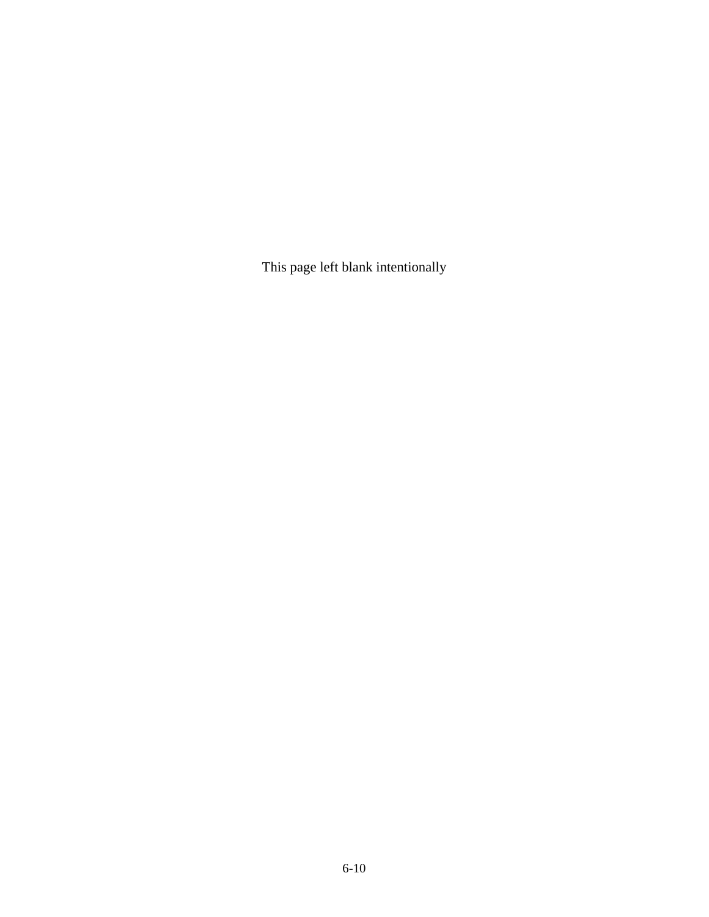This page left blank intentionally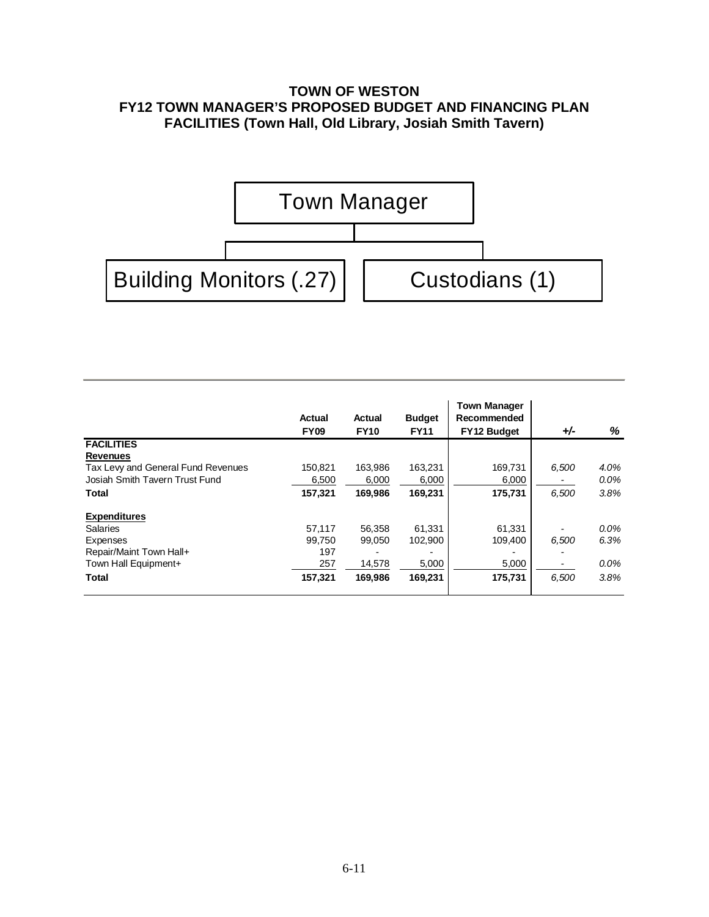## **TOWN OF WESTON FY12 TOWN MANAGER'S PROPOSED BUDGET AND FINANCING PLAN FACILITIES (Town Hall, Old Library, Josiah Smith Tavern)**



|                                    | Actual<br><b>FY09</b> | <b>Actual</b><br><b>FY10</b> | <b>Budget</b><br><b>FY11</b> | <b>Town Manager</b><br>Recommended<br><b>FY12 Budget</b> | $+/-$ | %       |
|------------------------------------|-----------------------|------------------------------|------------------------------|----------------------------------------------------------|-------|---------|
| <b>FACILITIES</b>                  |                       |                              |                              |                                                          |       |         |
| <b>Revenues</b>                    |                       |                              |                              |                                                          |       |         |
| Tax Levy and General Fund Revenues | 150.821               | 163.986                      | 163.231                      | 169,731                                                  | 6.500 | 4.0%    |
| Josiah Smith Tavern Trust Fund     | 6,500                 | 6.000                        | 6,000                        | 6,000                                                    |       | $0.0\%$ |
| Total                              | 157,321               | 169,986                      | 169,231                      | 175,731                                                  | 6,500 | 3.8%    |
| <b>Expenditures</b>                |                       |                              |                              |                                                          |       |         |
| <b>Salaries</b>                    | 57.117                | 56.358                       | 61,331                       | 61,331                                                   |       | $0.0\%$ |
| <b>Expenses</b>                    | 99.750                | 99.050                       | 102.900                      | 109,400                                                  | 6,500 | 6.3%    |
| Repair/Maint Town Hall+            | 197                   |                              |                              |                                                          |       |         |
| Town Hall Equipment+               | 257                   | 14,578                       | 5,000                        | 5,000                                                    |       | $0.0\%$ |
| <b>Total</b>                       | 157,321               | 169,986                      | 169,231                      | 175,731                                                  | 6,500 | 3.8%    |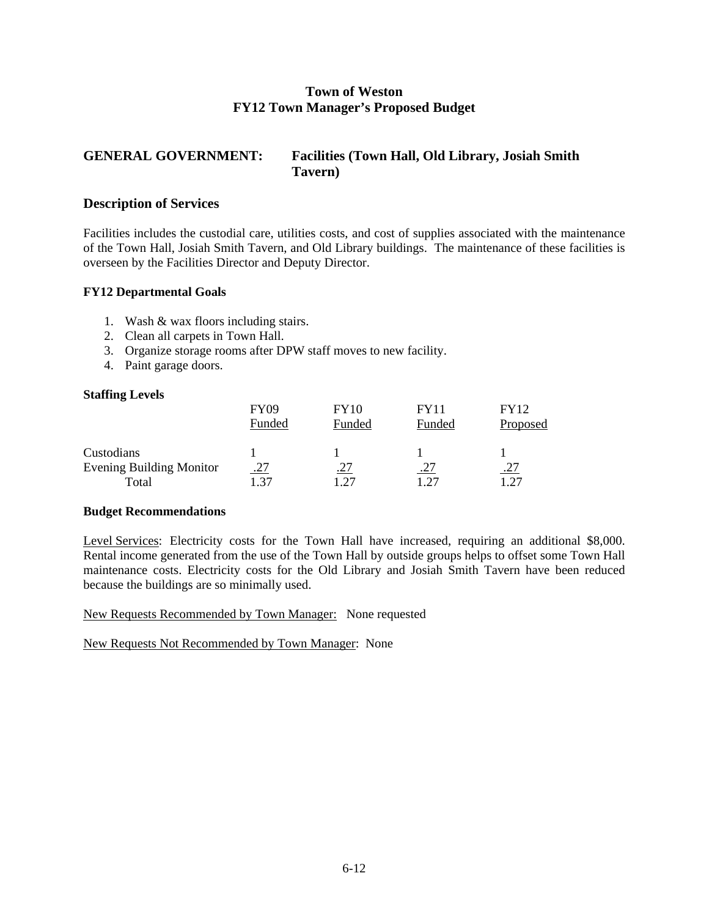### **GENERAL GOVERNMENT: Facilities (Town Hall, Old Library, Josiah Smith Tavern)**

### **Description of Services**

Facilities includes the custodial care, utilities costs, and cost of supplies associated with the maintenance of the Town Hall, Josiah Smith Tavern, and Old Library buildings. The maintenance of these facilities is overseen by the Facilities Director and Deputy Director.

### **FY12 Departmental Goals**

- 1. Wash & wax floors including stairs.
- 2. Clean all carpets in Town Hall.
- 3. Organize storage rooms after DPW staff moves to new facility.
- 4. Paint garage doors.

### **Staffing Levels**

|                                 | <b>FY09</b> | <b>FY10</b> | <b>FY11</b> | <b>FY12</b> |
|---------------------------------|-------------|-------------|-------------|-------------|
|                                 | Funded      | Funded      | Funded      | Proposed    |
| Custodians                      |             |             |             |             |
| <b>Evening Building Monitor</b> | <u>.27</u>  | .27         | .27         | <u>.27</u>  |
| Total                           | 37          | .27         | l 77        | 177         |

#### **Budget Recommendations**

Level Services: Electricity costs for the Town Hall have increased, requiring an additional \$8,000. Rental income generated from the use of the Town Hall by outside groups helps to offset some Town Hall maintenance costs. Electricity costs for the Old Library and Josiah Smith Tavern have been reduced because the buildings are so minimally used.

New Requests Recommended by Town Manager: None requested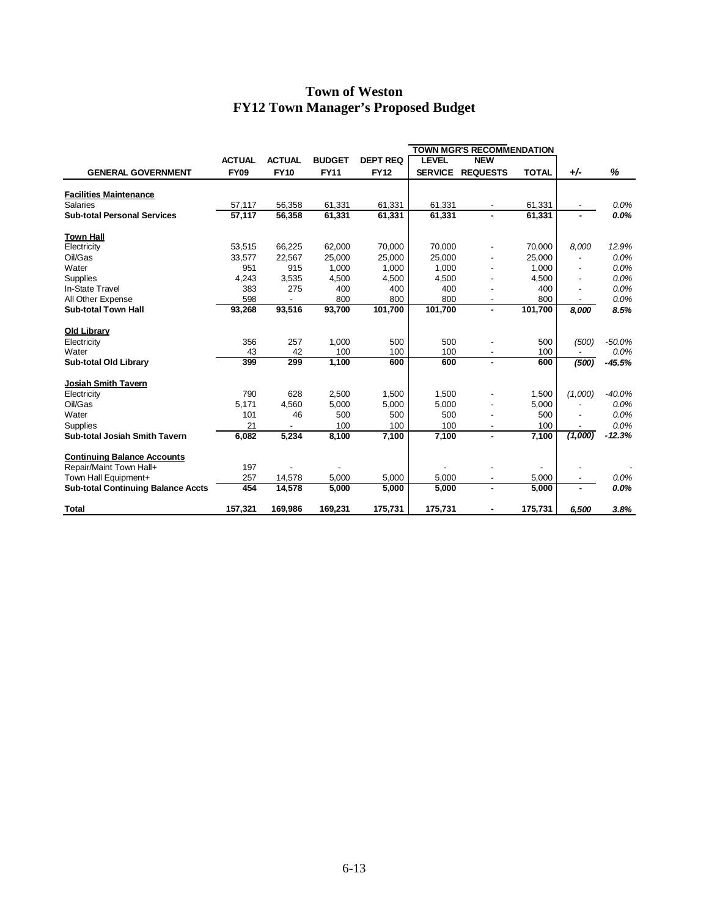|                                           | <b>TOWN MGR'S RECOMMENDATION</b> |               |               |                 |                |                          |              |                          |          |
|-------------------------------------------|----------------------------------|---------------|---------------|-----------------|----------------|--------------------------|--------------|--------------------------|----------|
|                                           | <b>ACTUAL</b>                    | <b>ACTUAL</b> | <b>BUDGET</b> | <b>DEPT REQ</b> | <b>LEVEL</b>   | <b>NEW</b>               | <b>TOTAL</b> |                          |          |
| <b>GENERAL GOVERNMENT</b>                 | <b>FY09</b>                      | <b>FY10</b>   | <b>FY11</b>   | <b>FY12</b>     | <b>SERVICE</b> | <b>REQUESTS</b>          |              | $+/-$                    | %        |
| <b>Facilities Maintenance</b>             |                                  |               |               |                 |                |                          |              |                          |          |
| Salaries                                  | 57,117                           | 56,358        | 61,331        | 61,331          | 61,331         | $\overline{\phantom{a}}$ | 61,331       | $\overline{\phantom{a}}$ | $0.0\%$  |
| <b>Sub-total Personal Services</b>        | 57,117                           | 56,358        | 61,331        | 61,331          | 61,331         | ٠                        | 61,331       |                          | 0.0%     |
| <b>Town Hall</b>                          |                                  |               |               |                 |                |                          |              |                          |          |
| Electricity                               | 53,515                           | 66,225        | 62.000        | 70,000          | 70.000         |                          | 70.000       | 8,000                    | 12.9%    |
| Oil/Gas                                   | 33,577                           | 22,567        | 25,000        | 25,000          | 25,000         |                          | 25,000       |                          | $0.0\%$  |
| Water                                     | 951                              | 915           | 1,000         | 1,000           | 1,000          |                          | 1,000        |                          | 0.0%     |
| Supplies                                  | 4,243                            | 3,535         | 4,500         | 4,500           | 4,500          |                          | 4,500        |                          | 0.0%     |
| In-State Travel                           | 383                              | 275           | 400           | 400             | 400            |                          | 400          |                          | 0.0%     |
| All Other Expense                         | 598                              |               | 800           | 800             | 800            | ۰                        | 800          |                          | 0.0%     |
| <b>Sub-total Town Hall</b>                | 93,268                           | 93,516        | 93,700        | 101,700         | 101,700        | ٠                        | 101,700      | 8,000                    | 8.5%     |
| <b>Old Library</b>                        |                                  |               |               |                 |                |                          |              |                          |          |
| Electricity                               | 356                              | 257           | 1,000         | 500             | 500            |                          | 500          | (500)                    | $-50.0%$ |
| Water                                     | 43                               | 42            | 100           | 100             | 100            |                          | 100          |                          | $0.0\%$  |
| <b>Sub-total Old Library</b>              | 399                              | 299           | 1,100         | 600             | 600            | ۰                        | 600          | (500)                    | $-45.5%$ |
| <b>Josiah Smith Tavern</b>                |                                  |               |               |                 |                |                          |              |                          |          |
| Electricity                               | 790                              | 628           | 2,500         | 1,500           | 1.500          |                          | 1,500        | (1,000)                  | $-40.0%$ |
| Oil/Gas                                   | 5,171                            | 4,560         | 5,000         | 5,000           | 5,000          |                          | 5,000        |                          | $0.0\%$  |
| Water                                     | 101                              | 46            | 500           | 500             | 500            |                          | 500          |                          | 0.0%     |
| Supplies                                  | 21                               |               | 100           | 100             | 100            |                          | 100          |                          | 0.0%     |
| <b>Sub-total Josiah Smith Tavern</b>      | 6,082                            | 5,234         | 8,100         | 7,100           | 7,100          |                          | 7,100        | (1,000)                  | $-12.3%$ |
| <b>Continuing Balance Accounts</b>        |                                  |               |               |                 |                |                          |              |                          |          |
| Repair/Maint Town Hall+                   | 197                              |               |               |                 |                |                          |              |                          |          |
| Town Hall Equipment+                      | 257                              | 14,578        | 5,000         | 5,000           | 5,000          |                          | 5,000        |                          | $0.0\%$  |
| <b>Sub-total Continuing Balance Accts</b> | 454                              | 14,578        | 5,000         | 5,000           | 5,000          | $\blacksquare$           | 5,000        |                          | 0.0%     |
| <b>Total</b>                              | 157,321                          | 169,986       | 169,231       | 175.731         | 175,731        |                          | 175.731      | 6,500                    | 3.8%     |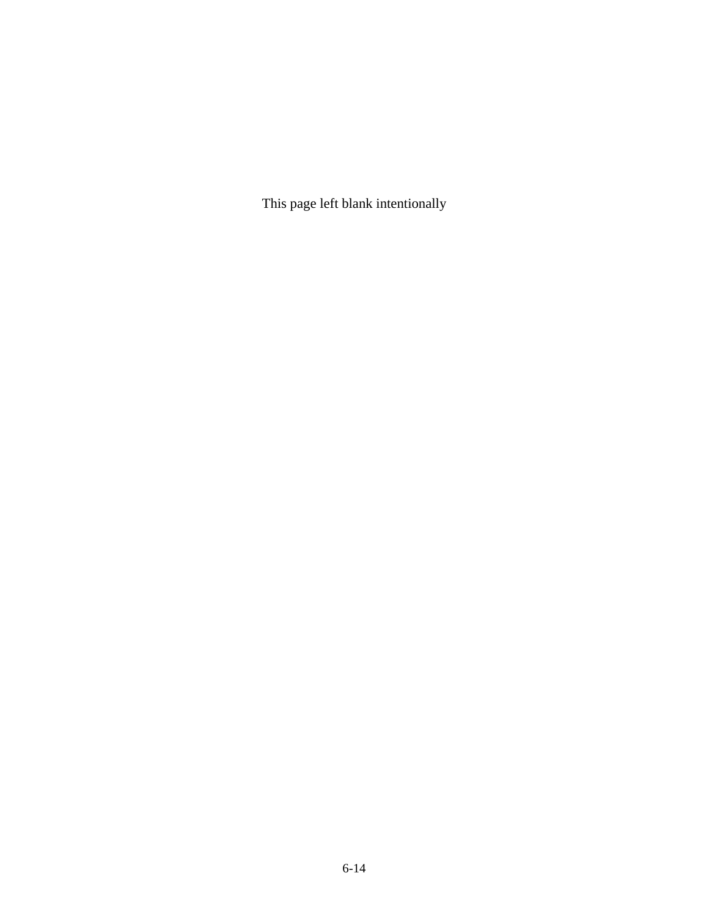This page left blank intentionally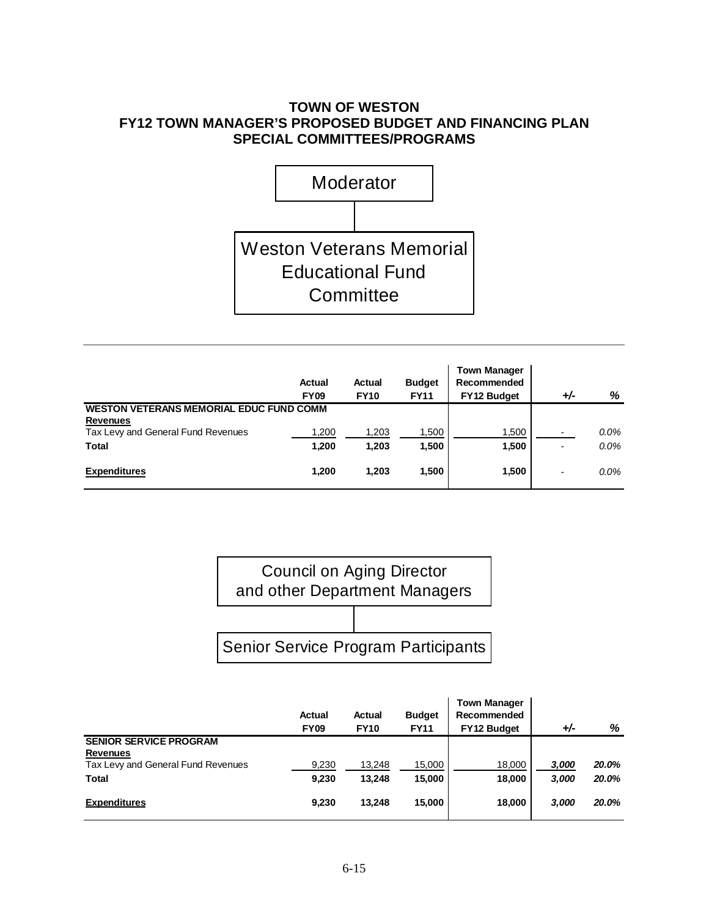## **TOWN OF WESTON FY12 TOWN MANAGER'S PROPOSED BUDGET AND FINANCING PLAN SPECIAL COMMITTEES/PROGRAMS**



|                                                | Actual<br><b>FY09</b> | Actual<br><b>FY10</b> | <b>Budget</b><br><b>FY11</b> | <b>Town Manager</b><br>Recommended<br><b>FY12 Budget</b> | +⁄-                      | %       |  |  |
|------------------------------------------------|-----------------------|-----------------------|------------------------------|----------------------------------------------------------|--------------------------|---------|--|--|
| <b>WESTON VETERANS MEMORIAL EDUC FUND COMM</b> |                       |                       |                              |                                                          |                          |         |  |  |
| <b>Revenues</b>                                |                       |                       |                              |                                                          |                          |         |  |  |
| Tax Levy and General Fund Revenues             | 1,200                 | 1,203                 | 1,500                        | 1,500                                                    |                          | $0.0\%$ |  |  |
| <b>Total</b>                                   | 1,200                 | 1,203                 | 1,500                        | 1,500                                                    | $\overline{\phantom{a}}$ | $0.0\%$ |  |  |
| <b>Expenditures</b>                            | 1,200                 | 1,203                 | 1,500                        | 1,500                                                    | -                        | $0.0\%$ |  |  |



|                                    | <b>Actual</b> | <b>Actual</b> | <b>Budget</b> | <b>Town Manager</b><br>Recommended |       |       |
|------------------------------------|---------------|---------------|---------------|------------------------------------|-------|-------|
|                                    | <b>FY09</b>   | <b>FY10</b>   | <b>FY11</b>   | <b>FY12 Budget</b>                 | +⁄-   | %     |
| <b>SENIOR SERVICE PROGRAM</b>      |               |               |               |                                    |       |       |
| <b>Revenues</b>                    |               |               |               |                                    |       |       |
| Tax Levy and General Fund Revenues | 9,230         | 13,248        | 15,000        | 18,000                             | 3,000 | 20.0% |
| <b>Total</b>                       | 9,230         | 13.248        | 15,000        | 18,000                             | 3,000 | 20.0% |
| <b>Expenditures</b>                | 9,230         | 13.248        | 15.000        | 18,000                             | 3,000 | 20.0% |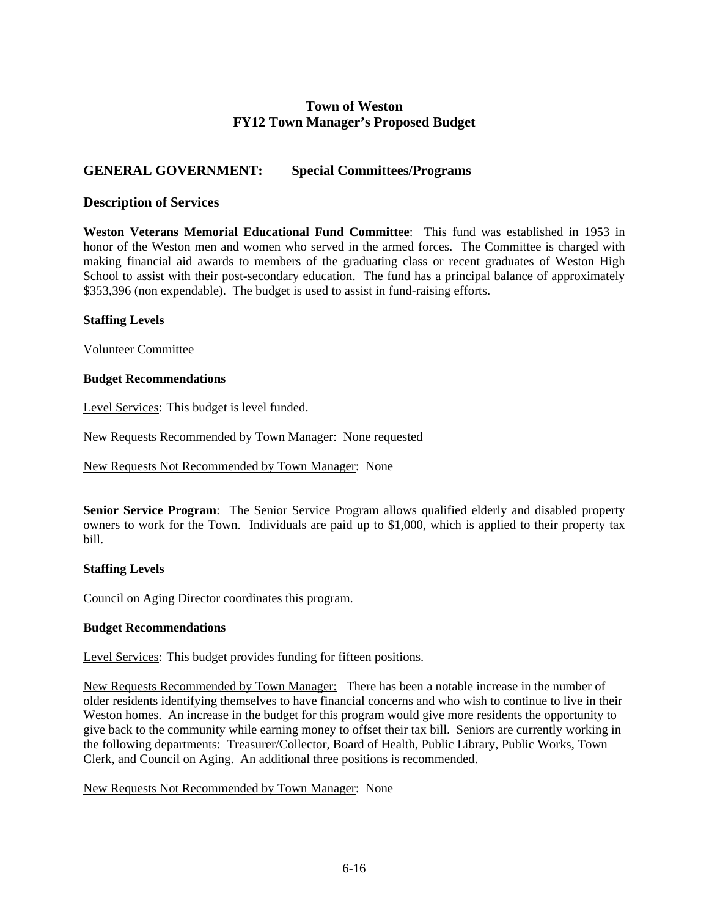## **GENERAL GOVERNMENT: Special Committees/Programs**

### **Description of Services**

**Weston Veterans Memorial Educational Fund Committee**: This fund was established in 1953 in honor of the Weston men and women who served in the armed forces. The Committee is charged with making financial aid awards to members of the graduating class or recent graduates of Weston High School to assist with their post-secondary education. The fund has a principal balance of approximately \$353,396 (non expendable). The budget is used to assist in fund-raising efforts.

### **Staffing Levels**

Volunteer Committee

### **Budget Recommendations**

Level Services: This budget is level funded.

New Requests Recommended by Town Manager: None requested

New Requests Not Recommended by Town Manager: None

**Senior Service Program**: The Senior Service Program allows qualified elderly and disabled property owners to work for the Town. Individuals are paid up to \$1,000, which is applied to their property tax bill.

### **Staffing Levels**

Council on Aging Director coordinates this program.

### **Budget Recommendations**

Level Services: This budget provides funding for fifteen positions.

New Requests Recommended by Town Manager: There has been a notable increase in the number of older residents identifying themselves to have financial concerns and who wish to continue to live in their Weston homes. An increase in the budget for this program would give more residents the opportunity to give back to the community while earning money to offset their tax bill. Seniors are currently working in the following departments: Treasurer/Collector, Board of Health, Public Library, Public Works, Town Clerk, and Council on Aging. An additional three positions is recommended.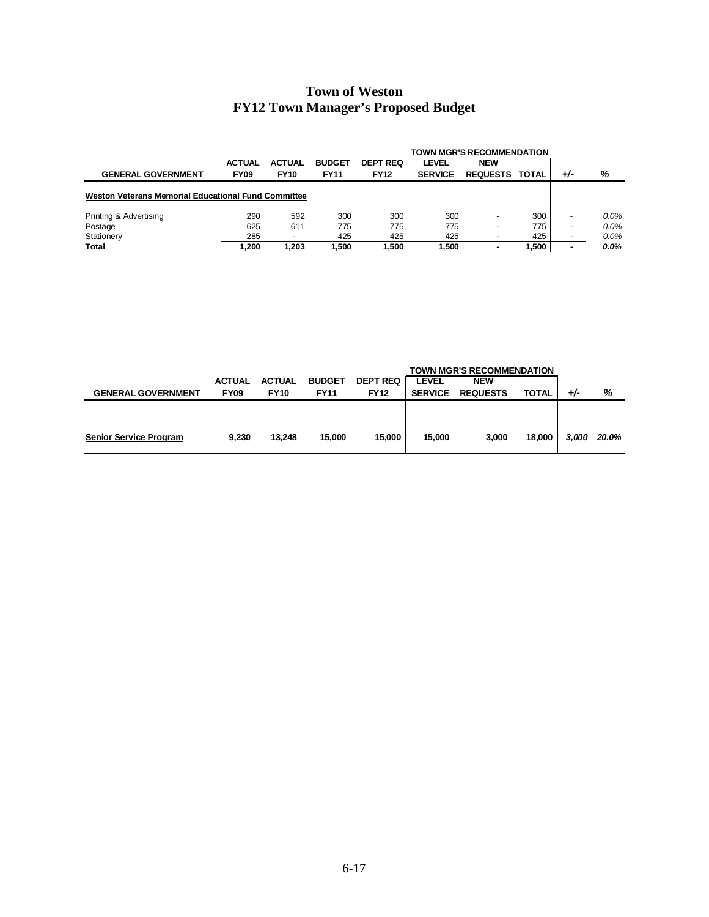|                                                     |               |               |               |                 |                | <b>TOWN MGR'S RECOMMENDATION</b> |              |                          |         |
|-----------------------------------------------------|---------------|---------------|---------------|-----------------|----------------|----------------------------------|--------------|--------------------------|---------|
|                                                     | <b>ACTUAL</b> | <b>ACTUAL</b> | <b>BUDGET</b> | <b>DEPT REQ</b> | <b>LEVEL</b>   | <b>NEW</b>                       |              |                          |         |
| <b>GENERAL GOVERNMENT</b>                           | <b>FY09</b>   | <b>FY10</b>   | <b>FY11</b>   | <b>FY12</b>     | <b>SERVICE</b> | <b>REQUESTS</b>                  | <b>TOTAL</b> | +⁄-                      | %       |
| Weston Veterans Memorial Educational Fund Committee |               |               |               |                 |                |                                  |              |                          |         |
| Printing & Advertising                              | 290           | 592           | 300           | 300             | 300            |                                  | 300          | -                        | $0.0\%$ |
| Postage                                             | 625           | 611           | 775           | 775             | 775            |                                  | 775          | $\overline{\phantom{a}}$ | $0.0\%$ |
| Stationery                                          | 285           |               | 425           | 425             | 425            |                                  | 425          | -                        | $0.0\%$ |
| Total                                               | 200. ا        | 1.203         | .500          | 1.500           | 1.500          |                                  | 1.500        | ٠                        | 0.0%    |

|                               |               |               |               |                 |                | <b>TOWN MGR'S RECOMMENDATION</b> |              |       |       |
|-------------------------------|---------------|---------------|---------------|-----------------|----------------|----------------------------------|--------------|-------|-------|
|                               | <b>ACTUAL</b> | <b>ACTUAL</b> | <b>BUDGET</b> | <b>DEPT REQ</b> | <b>LEVEL</b>   | <b>NEW</b>                       |              |       |       |
| <b>GENERAL GOVERNMENT</b>     | <b>FY09</b>   | <b>FY10</b>   | <b>FY11</b>   | <b>FY12</b>     | <b>SERVICE</b> | <b>REQUESTS</b>                  | <b>TOTAL</b> | +⁄∙   | %     |
|                               |               |               |               |                 |                |                                  |              |       |       |
|                               |               |               |               |                 |                |                                  |              |       |       |
| <b>Senior Service Program</b> | 9,230         | 13.248        | 15,000        | 15.000          | 15,000         | 3,000                            | 18,000       | 3.000 | 20.0% |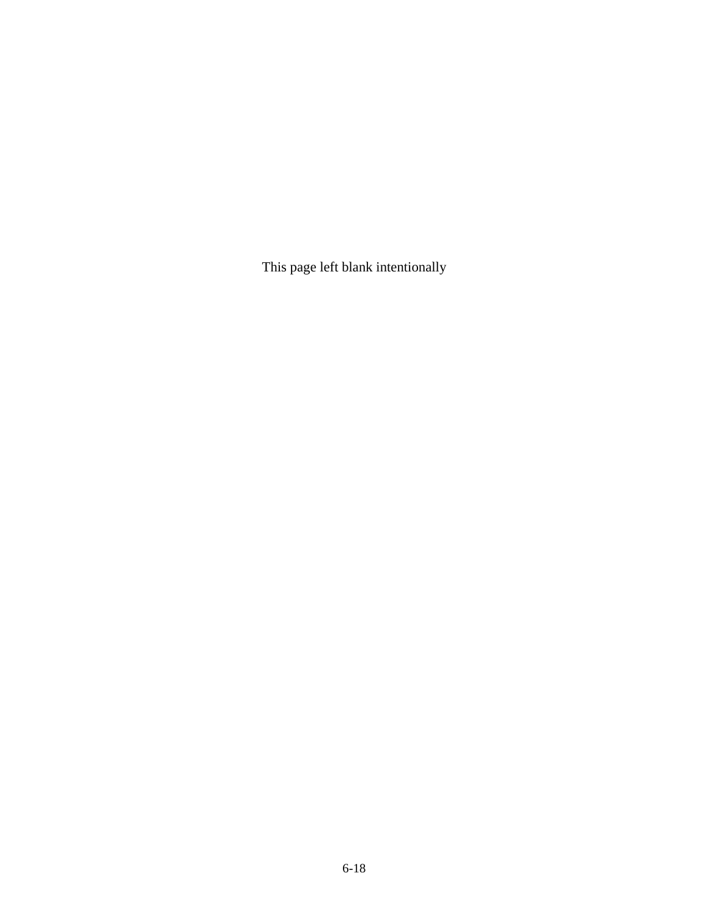This page left blank intentionally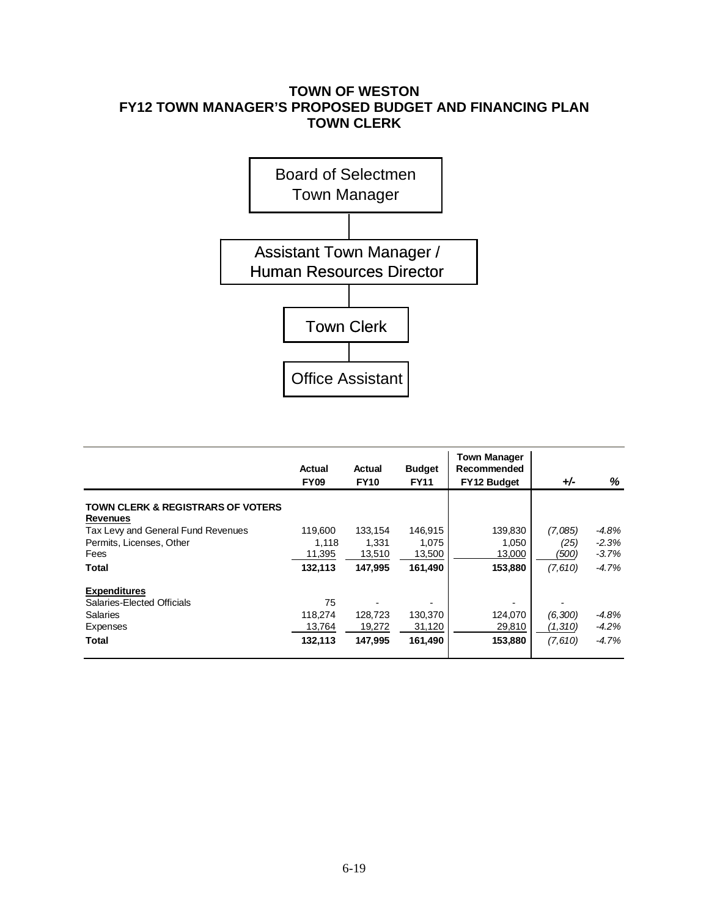## **TOWN OF WESTON FY12 TOWN MANAGER'S PROPOSED BUDGET AND FINANCING PLAN TOWN CLERK**



|                                                       | <b>Actual</b><br><b>FY09</b> | Actual<br><b>FY10</b> | <b>Budget</b><br><b>FY11</b> | <b>Town Manager</b><br>Recommended<br><b>FY12 Budget</b> | $+/-$   | %       |
|-------------------------------------------------------|------------------------------|-----------------------|------------------------------|----------------------------------------------------------|---------|---------|
|                                                       |                              |                       |                              |                                                          |         |         |
| TOWN CLERK & REGISTRARS OF VOTERS                     |                              |                       |                              |                                                          |         |         |
| <b>Revenues</b><br>Tax Levy and General Fund Revenues | 119,600                      | 133.154               | 146,915                      | 139,830                                                  | (7,085) | -4.8%   |
| Permits, Licenses, Other                              | 1.118                        | 1.331                 | 1,075                        | 1.050                                                    |         | $-2.3%$ |
|                                                       |                              |                       |                              |                                                          | (25)    |         |
| Fees                                                  | 11,395                       | 13,510                | 13,500                       | 13,000                                                   | (500)   | $-3.7%$ |
| Total                                                 | 132,113                      | 147.995               | 161,490                      | 153,880                                                  | (7,610) | $-4.7%$ |
| <b>Expenditures</b>                                   |                              |                       |                              |                                                          |         |         |
| Salaries-Elected Officials                            | 75                           |                       | $\blacksquare$               | $\blacksquare$                                           |         |         |
| Salaries                                              | 118,274                      | 128,723               | 130,370                      | 124,070                                                  | (6,300) | -4.8%   |
| <b>Expenses</b>                                       | 13,764                       | 19,272                | 31,120                       | 29,810                                                   | (1,310) | $-4.2%$ |
| Total                                                 | 132,113                      | 147.995               | 161,490                      | 153,880                                                  | (7,610) | $-4.7%$ |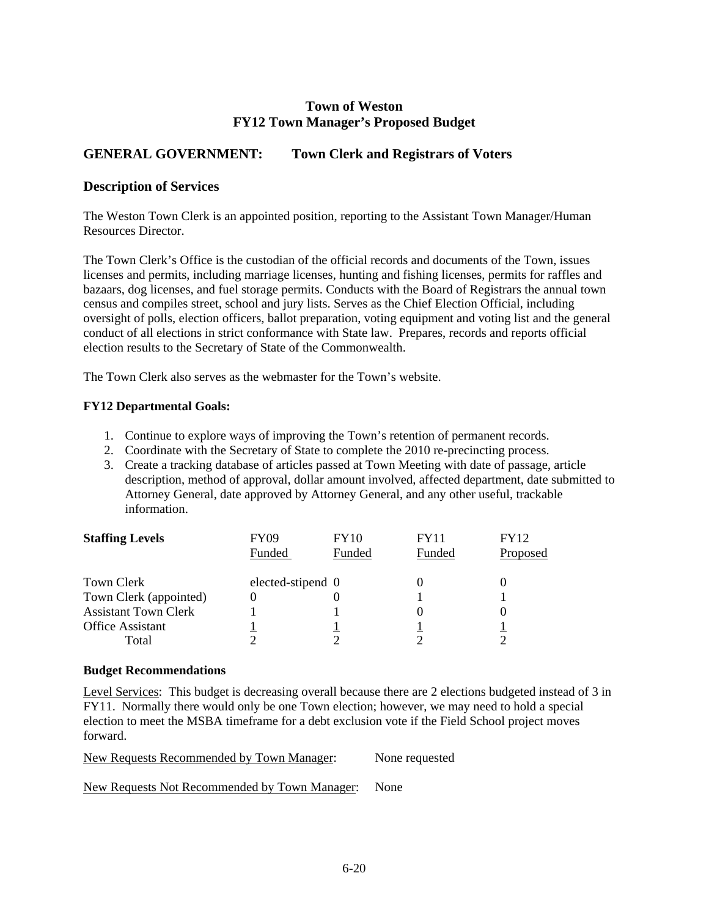## **GENERAL GOVERNMENT: Town Clerk and Registrars of Voters**

### **Description of Services**

The Weston Town Clerk is an appointed position, reporting to the Assistant Town Manager/Human Resources Director.

The Town Clerk's Office is the custodian of the official records and documents of the Town, issues licenses and permits, including marriage licenses, hunting and fishing licenses, permits for raffles and bazaars, dog licenses, and fuel storage permits. Conducts with the Board of Registrars the annual town census and compiles street, school and jury lists. Serves as the Chief Election Official, including oversight of polls, election officers, ballot preparation, voting equipment and voting list and the general conduct of all elections in strict conformance with State law. Prepares, records and reports official election results to the Secretary of State of the Commonwealth.

The Town Clerk also serves as the webmaster for the Town's website.

### **FY12 Departmental Goals:**

- 1. Continue to explore ways of improving the Town's retention of permanent records.
- 2. Coordinate with the Secretary of State to complete the 2010 re-precincting process.
- 3. Create a tracking database of articles passed at Town Meeting with date of passage, article description, method of approval, dollar amount involved, affected department, date submitted to Attorney General, date approved by Attorney General, and any other useful, trackable information.

| <b>Staffing Levels</b>      | <b>FY09</b>       | <b>FY10</b> | <b>FY11</b> | <b>FY12</b> |
|-----------------------------|-------------------|-------------|-------------|-------------|
|                             | Funded            | Funded      | Funded      | Proposed    |
| Town Clerk                  | elected-stipend 0 |             |             |             |
| Town Clerk (appointed)      |                   |             |             |             |
| <b>Assistant Town Clerk</b> |                   |             |             |             |
| <b>Office Assistant</b>     |                   |             |             |             |
| Total                       |                   |             |             |             |

#### **Budget Recommendations**

Level Services: This budget is decreasing overall because there are 2 elections budgeted instead of 3 in FY11. Normally there would only be one Town election; however, we may need to hold a special election to meet the MSBA timeframe for a debt exclusion vote if the Field School project moves forward.

New Requests Recommended by Town Manager: None requested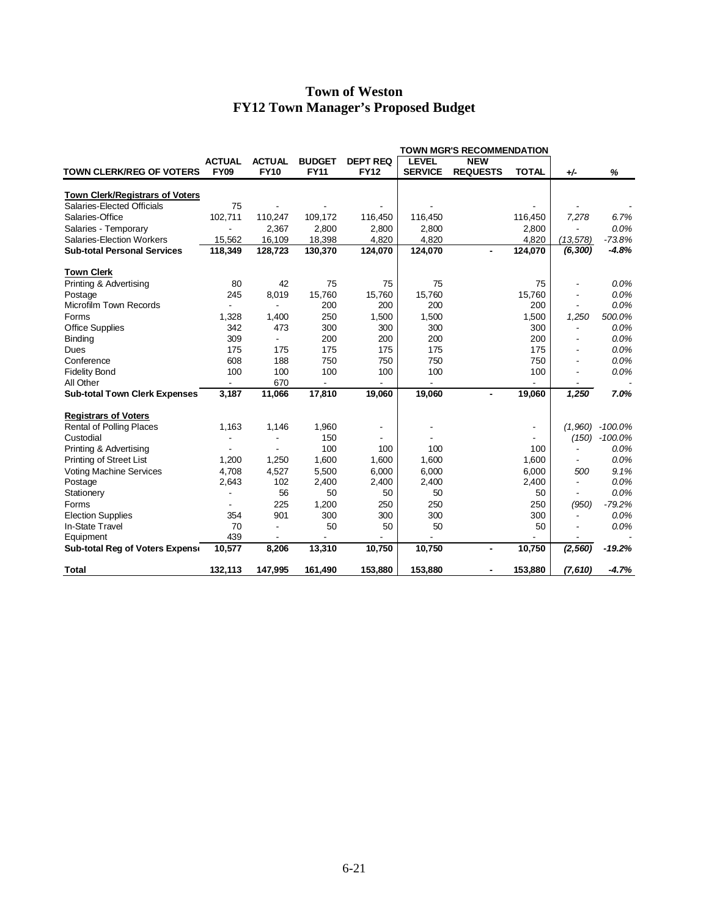|                                        |               |                |               |                 |                | <b>TOWN MGR'S RECOMMENDATION</b> |                          |                          |                   |
|----------------------------------------|---------------|----------------|---------------|-----------------|----------------|----------------------------------|--------------------------|--------------------------|-------------------|
|                                        | <b>ACTUAL</b> | <b>ACTUAL</b>  | <b>BUDGET</b> | <b>DEPT REQ</b> | <b>LEVEL</b>   | <b>NEW</b>                       |                          |                          |                   |
| <b>TOWN CLERK/REG OF VOTERS</b>        | <b>FY09</b>   | <b>FY10</b>    | <b>FY11</b>   | <b>FY12</b>     | <b>SERVICE</b> | <b>REQUESTS</b>                  | <b>TOTAL</b>             | $+/-$                    | %                 |
| <b>Town Clerk/Registrars of Voters</b> |               |                |               |                 |                |                                  |                          |                          |                   |
| Salaries-Elected Officials             | 75            |                |               |                 |                |                                  |                          |                          |                   |
| Salaries-Office                        | 102,711       | 110,247        | 109,172       | 116,450         | 116,450        |                                  | 116,450                  | 7,278                    | 6.7%              |
| Salaries - Temporary                   |               | 2,367          | 2,800         | 2,800           | 2,800          |                                  | 2,800                    |                          | 0.0%              |
| Salaries-Election Workers              | 15,562        | 16,109         | 18,398        | 4,820           | 4,820          |                                  | 4,820                    | (13, 578)                | $-73.8%$          |
| <b>Sub-total Personal Services</b>     | 118,349       | 128,723        | 130,370       | 124,070         | 124,070        | $\blacksquare$                   | 124,070                  | (6, 300)                 | $-4.8%$           |
| <b>Town Clerk</b>                      |               |                |               |                 |                |                                  |                          |                          |                   |
| Printing & Advertising                 | 80            | 42             | 75            | 75              | 75             |                                  | 75                       |                          | 0.0%              |
| Postage                                | 245           | 8,019          | 15,760        | 15,760          | 15,760         |                                  | 15,760                   |                          | 0.0%              |
| Microfilm Town Records                 |               |                | 200           | 200             | 200            |                                  | 200                      |                          | 0.0%              |
| Forms                                  | 1,328         | 1,400          | 250           | 1,500           | 1,500          |                                  | 1,500                    | 1,250                    | 500.0%            |
| <b>Office Supplies</b>                 | 342           | 473            | 300           | 300             | 300            |                                  | 300                      |                          | 0.0%              |
| Binding                                | 309           | $\overline{a}$ | 200           | 200             | 200            |                                  | 200                      | ٠                        | 0.0%              |
| Dues                                   | 175           | 175            | 175           | 175             | 175            |                                  | 175                      | $\overline{\phantom{0}}$ | 0.0%              |
| Conference                             | 608           | 188            | 750           | 750             | 750            |                                  | 750                      |                          | 0.0%              |
| <b>Fidelity Bond</b>                   | 100           | 100            | 100           | 100             | 100            |                                  | 100                      |                          | 0.0%              |
| All Other                              |               | 670            |               |                 |                |                                  |                          |                          |                   |
| <b>Sub-total Town Clerk Expenses</b>   | 3,187         | 11,066         | 17,810        | 19,060          | 19,060         |                                  | 19,060                   | 1,250                    | 7.0%              |
| <b>Registrars of Voters</b>            |               |                |               |                 |                |                                  |                          |                          |                   |
| Rental of Polling Places               | 1,163         | 1,146          | 1,960         |                 |                |                                  | $\overline{\phantom{a}}$ | (1,960)                  | $-100.0%$         |
| Custodial                              |               |                | 150           |                 |                |                                  |                          |                          | $(150) - 100.0\%$ |
| Printing & Advertising                 |               |                | 100           | 100             | 100            |                                  | 100                      |                          | 0.0%              |
| Printing of Street List                | 1,200         | 1,250          | 1,600         | 1,600           | 1.600          |                                  | 1,600                    |                          | 0.0%              |
| <b>Voting Machine Services</b>         | 4,708         | 4,527          | 5,500         | 6,000           | 6,000          |                                  | 6,000                    | 500                      | 9.1%              |
| Postage                                | 2,643         | 102            | 2,400         | 2,400           | 2,400          |                                  | 2,400                    |                          | 0.0%              |
| Stationery                             |               | 56             | 50            | 50              | 50             |                                  | 50                       |                          | 0.0%              |
| Forms                                  |               | 225            | 1,200         | 250             | 250            |                                  | 250                      | (950)                    | $-79.2%$          |
| <b>Election Supplies</b>               | 354           | 901            | 300           | 300             | 300            |                                  | 300                      |                          | 0.0%              |
| In-State Travel                        | 70            |                | 50            | 50              | 50             |                                  | 50                       |                          | 0.0%              |
| Equipment                              | 439           |                |               |                 |                |                                  |                          |                          |                   |
| Sub-total Reg of Voters Expense        | 10,577        | 8,206          | 13,310        | 10,750          | 10,750         | $\blacksquare$                   | 10,750                   | (2, 560)                 | $-19.2%$          |
| <b>Total</b>                           | 132,113       | 147,995        | 161,490       | 153,880         | 153,880        |                                  | 153,880                  | (7,610)                  | $-4.7%$           |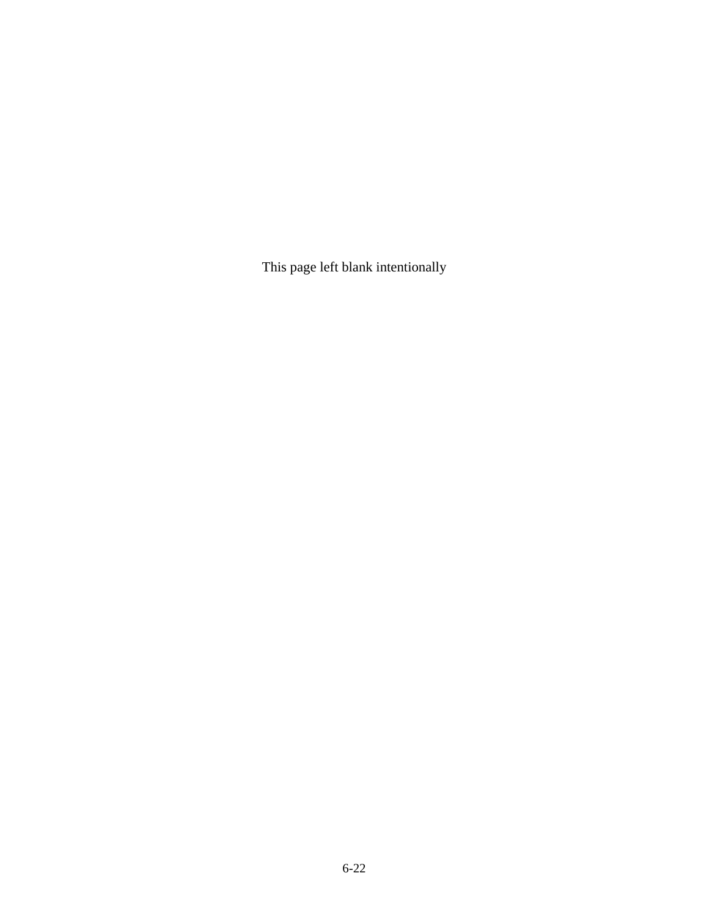This page left blank intentionally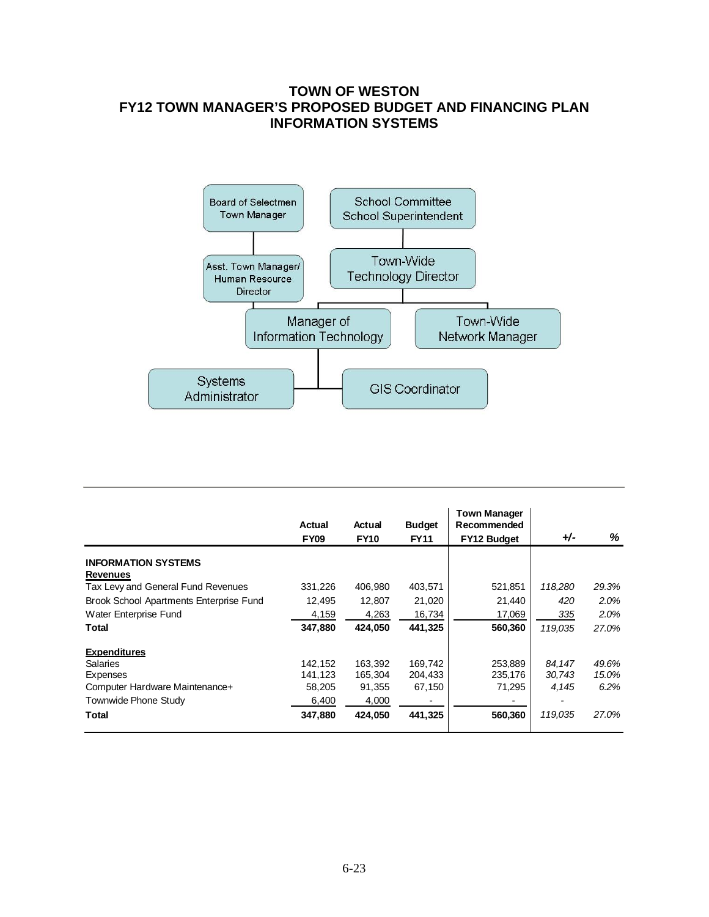# **TOWN OF WESTON FY12 TOWN MANAGER'S PROPOSED BUDGET AND FINANCING PLAN INFORMATION SYSTEMS**



|                                         | Actual<br><b>FY09</b> | Actual<br><b>FY10</b> | <b>Budget</b><br><b>FY11</b> | <b>Town Manager</b><br>Recommended<br>FY12 Budget | $+/-$   | %     |
|-----------------------------------------|-----------------------|-----------------------|------------------------------|---------------------------------------------------|---------|-------|
| <b>INFORMATION SYSTEMS</b>              |                       |                       |                              |                                                   |         |       |
| <b>Revenues</b>                         |                       |                       |                              |                                                   |         |       |
| Tax Levy and General Fund Revenues      | 331,226               | 406,980               | 403,571                      | 521,851                                           | 118,280 | 29.3% |
| Brook School Apartments Enterprise Fund | 12.495                | 12.807                | 21,020                       | 21,440                                            | 420     | 2.0%  |
| Water Enterprise Fund                   | 4,159                 | 4,263                 | 16,734                       | 17,069                                            | 335     | 2.0%  |
| <b>Total</b>                            | 347,880               | 424.050               | 441,325                      | 560,360                                           | 119.035 | 27.0% |
| <b>Expenditures</b>                     |                       |                       |                              |                                                   |         |       |
| <b>Salaries</b>                         | 142,152               | 163,392               | 169,742                      | 253,889                                           | 84,147  | 49.6% |
| Expenses                                | 141.123               | 165.304               | 204,433                      | 235,176                                           | 30.743  | 15.0% |
| Computer Hardware Maintenance+          | 58,205                | 91,355                | 67,150                       | 71,295                                            | 4,145   | 6.2%  |
| Townwide Phone Study                    | 6,400                 | 4,000                 | ٠                            |                                                   |         |       |
| Total                                   | 347,880               | 424,050               | 441,325                      | 560,360                                           | 119,035 | 27.0% |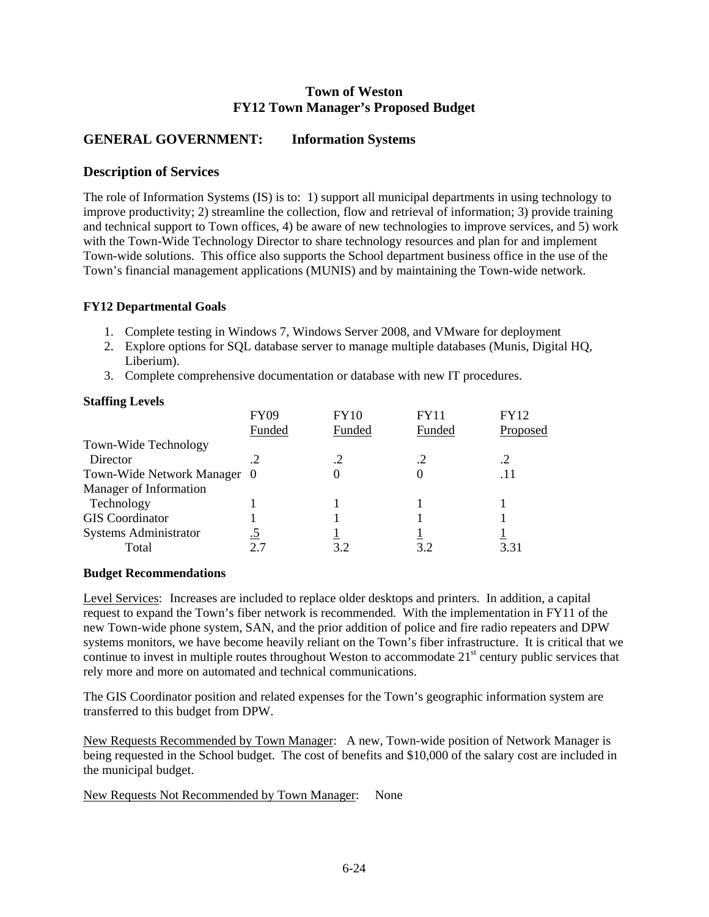## **GENERAL GOVERNMENT: Information Systems**

### **Description of Services**

The role of Information Systems (IS) is to: 1) support all municipal departments in using technology to improve productivity; 2) streamline the collection, flow and retrieval of information; 3) provide training and technical support to Town offices, 4) be aware of new technologies to improve services, and 5) work with the Town-Wide Technology Director to share technology resources and plan for and implement Town-wide solutions. This office also supports the School department business office in the use of the Town's financial management applications (MUNIS) and by maintaining the Town-wide network.

### **FY12 Departmental Goals**

- 1. Complete testing in Windows 7, Windows Server 2008, and VMware for deployment
- 2. Explore options for SQL database server to manage multiple databases (Munis, Digital HQ, Liberium).
- 3. Complete comprehensive documentation or database with new IT procedures.

#### **Staffing Levels**

|                             | <b>FY09</b> | <b>FY10</b> | FY11   | <b>FY12</b> |
|-----------------------------|-------------|-------------|--------|-------------|
|                             | Funded      | Funded      | Funded | Proposed    |
| Town-Wide Technology        |             |             |        |             |
| Director                    |             |             |        |             |
| Town-Wide Network Manager 0 |             |             |        |             |
| Manager of Information      |             |             |        |             |
| Technology                  |             |             |        |             |
| <b>GIS</b> Coordinator      |             |             |        |             |
| Systems Administrator       | .5          |             |        |             |
| Total                       |             | 3.2         | 32     | 3.31        |

### **Budget Recommendations**

Level Services: Increases are included to replace older desktops and printers. In addition, a capital request to expand the Town's fiber network is recommended. With the implementation in FY11 of the new Town-wide phone system, SAN, and the prior addition of police and fire radio repeaters and DPW systems monitors, we have become heavily reliant on the Town's fiber infrastructure. It is critical that we continue to invest in multiple routes throughout Weston to accommodate  $21<sup>st</sup>$  century public services that rely more and more on automated and technical communications.

The GIS Coordinator position and related expenses for the Town's geographic information system are transferred to this budget from DPW.

New Requests Recommended by Town Manager: A new, Town-wide position of Network Manager is being requested in the School budget. The cost of benefits and \$10,000 of the salary cost are included in the municipal budget.